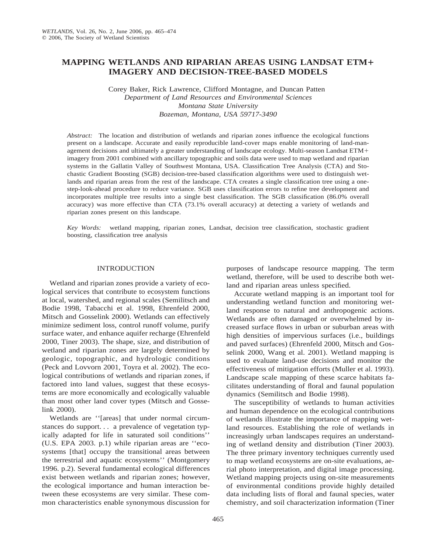# **MAPPING WETLANDS AND RIPARIAN AREAS USING LANDSAT ETM**1 **IMAGERY AND DECISION-TREE-BASED MODELS**

Corey Baker, Rick Lawrence, Clifford Montagne, and Duncan Patten *Department of Land Resources and Environmental Sciences Montana State University Bozeman, Montana, USA 59717-3490*

*Abstract:* The location and distribution of wetlands and riparian zones influence the ecological functions present on a landscape. Accurate and easily reproducible land-cover maps enable monitoring of land-management decisions and ultimately a greater understanding of landscape ecology. Multi-season Landsat ETM+ imagery from 2001 combined with ancillary topographic and soils data were used to map wetland and riparian systems in the Gallatin Valley of Southwest Montana, USA. Classification Tree Analysis (CTA) and Stochastic Gradient Boosting (SGB) decision-tree-based classification algorithms were used to distinguish wetlands and riparian areas from the rest of the landscape. CTA creates a single classification tree using a onestep-look-ahead procedure to reduce variance. SGB uses classification errors to refine tree development and incorporates multiple tree results into a single best classification. The SGB classification (86.0% overall accuracy) was more effective than CTA (73.1% overall accuracy) at detecting a variety of wetlands and riparian zones present on this landscape.

*Key Words:* wetland mapping, riparian zones, Landsat, decision tree classification, stochastic gradient boosting, classification tree analysis

## INTRODUCTION

Wetland and riparian zones provide a variety of ecological services that contribute to ecosystem functions at local, watershed, and regional scales (Semilitsch and Bodie 1998, Tabacchi et al. 1998, Ehrenfeld 2000, Mitsch and Gosselink 2000). Wetlands can effectively minimize sediment loss, control runoff volume, purify surface water, and enhance aquifer recharge (Ehrenfeld 2000, Tiner 2003). The shape, size, and distribution of wetland and riparian zones are largely determined by geologic, topographic, and hydrologic conditions (Peck and Lovvorn 2001, Toyra et al. 2002). The ecological contributions of wetlands and riparian zones, if factored into land values, suggest that these ecosystems are more economically and ecologically valuable than most other land cover types (Mitsch and Gosselink 2000).

Wetlands are ''[areas] that under normal circumstances do support. . . a prevalence of vegetation typically adapted for life in saturated soil conditions'' (U.S. EPA 2003. p.1) while riparian areas are ''ecosystems [that] occupy the transitional areas between the terrestrial and aquatic ecosystems'' (Montgomery 1996. p.2). Several fundamental ecological differences exist between wetlands and riparian zones; however, the ecological importance and human interaction between these ecosystems are very similar. These common characteristics enable synonymous discussion for purposes of landscape resource mapping. The term wetland, therefore, will be used to describe both wetland and riparian areas unless specified.

Accurate wetland mapping is an important tool for understanding wetland function and monitoring wetland response to natural and anthropogenic actions. Wetlands are often damaged or overwhelmed by increased surface flows in urban or suburban areas with high densities of impervious surfaces (i.e., buildings and paved surfaces) (Ehrenfeld 2000, Mitsch and Gosselink 2000, Wang et al. 2001). Wetland mapping is used to evaluate land-use decisions and monitor the effectiveness of mitigation efforts (Muller et al. 1993). Landscape scale mapping of these scarce habitats facilitates understanding of floral and faunal population dynamics (Semilitsch and Bodie 1998).

The susceptibility of wetlands to human activities and human dependence on the ecological contributions of wetlands illustrate the importance of mapping wetland resources. Establishing the role of wetlands in increasingly urban landscapes requires an understanding of wetland density and distribution (Tiner 2003). The three primary inventory techniques currently used to map wetland ecosystems are on-site evaluations, aerial photo interpretation, and digital image processing. Wetland mapping projects using on-site measurements of environmental conditions provide highly detailed data including lists of floral and faunal species, water chemistry, and soil characterization information (Tiner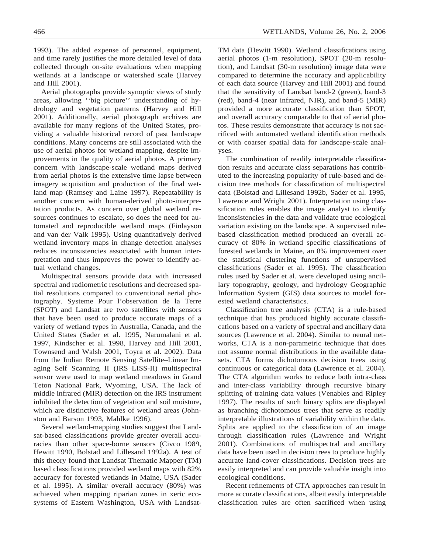1993). The added expense of personnel, equipment, and time rarely justifies the more detailed level of data collected through on-site evaluations when mapping wetlands at a landscape or watershed scale (Harvey and Hill 2001).

Aerial photographs provide synoptic views of study areas, allowing ''big picture'' understanding of hydrology and vegetation patterns (Harvey and Hill 2001). Additionally, aerial photograph archives are available for many regions of the United States, providing a valuable historical record of past landscape conditions. Many concerns are still associated with the use of aerial photos for wetland mapping, despite improvements in the quality of aerial photos. A primary concern with landscape-scale wetland maps derived from aerial photos is the extensive time lapse between imagery acquisition and production of the final wetland map (Ramsey and Laine 1997). Repeatability is another concern with human-derived photo-interpretation products. As concern over global wetland resources continues to escalate, so does the need for automated and reproducible wetland maps (Finlayson and van der Valk 1995). Using quantitatively derived wetland inventory maps in change detection analyses reduces inconsistencies associated with human interpretation and thus improves the power to identify actual wetland changes.

Multispectral sensors provide data with increased spectral and radiometric resolutions and decreased spatial resolutions compared to conventional aerial photography. Systeme Pour l'observation de la Terre (SPOT) and Landsat are two satellites with sensors that have been used to produce accurate maps of a variety of wetland types in Australia, Canada, and the United States (Sader et al. 1995, Narumalani et al. 1997, Kindscher et al. 1998, Harvey and Hill 2001, Townsend and Walsh 2001, Toyra et al. 2002). Data from the Indian Remote Sensing Satellite–Linear Imaging Self Scanning II (IRS–LISS-II) multispectral sensor were used to map wetland meadows in Grand Teton National Park, Wyoming, USA. The lack of middle infrared (MIR) detection on the IRS instrument inhibited the detection of vegetation and soil moisture, which are distinctive features of wetland areas (Johnston and Barson 1993, Mahlke 1996).

Several wetland-mapping studies suggest that Landsat-based classifications provide greater overall accuracies than other space-borne sensors (Civco 1989, Hewitt 1990, Bolstad and Lillesand 1992a). A test of this theory found that Landsat Thematic Mapper (TM) based classifications provided wetland maps with 82% accuracy for forested wetlands in Maine, USA (Sader et al. 1995). A similar overall accuracy (80%) was achieved when mapping riparian zones in xeric ecosystems of Eastern Washington, USA with Landsat-

TM data (Hewitt 1990). Wetland classifications using aerial photos (1-m resolution), SPOT (20-m resolution), and Landsat (30-m resolution) image data were compared to determine the accuracy and applicability of each data source (Harvey and Hill 2001) and found that the sensitivity of Landsat band-2 (green), band-3 (red), band-4 (near infrared, NIR), and band-5 (MIR) provided a more accurate classification than SPOT, and overall accuracy comparable to that of aerial photos. These results demonstrate that accuracy is not sacrificed with automated wetland identification methods or with coarser spatial data for landscape-scale analyses.

The combination of readily interpretable classification results and accurate class separations has contributed to the increasing popularity of rule-based and decision tree methods for classification of multispectral data (Bolstad and Lillesand 1992b, Sader et al. 1995, Lawrence and Wright 2001). Interpretation using classification rules enables the image analyst to identify inconsistencies in the data and validate true ecological variation existing on the landscape. A supervised rulebased classification method produced an overall accuracy of 80% in wetland specific classifications of forested wetlands in Maine, an 8% improvement over the statistical clustering functions of unsupervised classifications (Sader et al. 1995). The classification rules used by Sader et al. were developed using ancillary topography, geology, and hydrology Geographic Information System (GIS) data sources to model forested wetland characteristics.

Classification tree analysis (CTA) is a rule-based technique that has produced highly accurate classifications based on a variety of spectral and ancillary data sources (Lawrence et al. 2004). Similar to neural networks, CTA is a non-parametric technique that does not assume normal distributions in the available datasets. CTA forms dichotomous decision trees using continuous or categorical data (Lawrence et al. 2004). The CTA algorithm works to reduce both intra-class and inter-class variability through recursive binary splitting of training data values (Venables and Ripley 1997). The results of such binary splits are displayed as branching dichotomous trees that serve as readily interpretable illustrations of variability within the data. Splits are applied to the classification of an image through classification rules (Lawrence and Wright 2001). Combinations of multispectral and ancillary data have been used in decision trees to produce highly accurate land-cover classifications. Decision trees are easily interpreted and can provide valuable insight into ecological conditions.

Recent refinements of CTA approaches can result in more accurate classifications, albeit easily interpretable classification rules are often sacrificed when using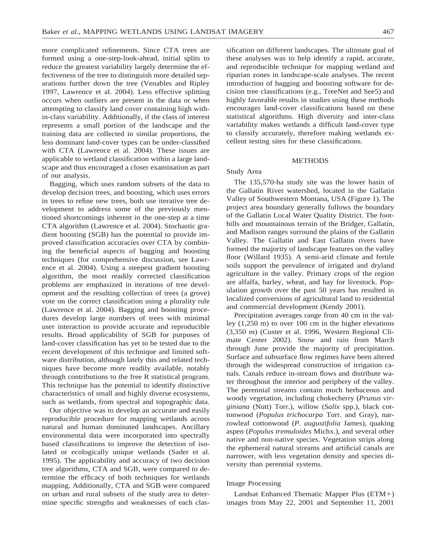more complicated refinements. Since CTA trees are formed using a one-step-look-ahead, initial splits to reduce the greatest variability largely determine the effectiveness of the tree to distinguish more detailed separations further down the tree (Venables and Ripley 1997, Lawrence et al. 2004). Less effective splitting occurs when outliers are present in the data or when attempting to classify land cover containing high within-class variability. Additionally, if the class of interest represents a small portion of the landscape and the training data are collected in similar proportions, the less dominant land-cover types can be under-classified with CTA (Lawrence et al. 2004). These issues are applicable to wetland classification within a large landscape and thus encouraged a closer examination as part of our analysis.

Bagging, which uses random subsets of the data to develop decision trees, and boosting, which uses errors in trees to refine new trees, both use iterative tree development to address some of the previously mentioned shortcomings inherent in the one-step at a time CTA algorithm (Lawrence et al. 2004). Stochastic gradient boosting (SGB) has the potential to provide improved classification accuracies over CTA by combining the beneficial aspects of bagging and boosting techniques (for comprehensive discussion, see Lawrence et al. 2004). Using a steepest gradient boosting algorithm, the most readily corrected classification problems are emphasized in iterations of tree development and the resulting collection of trees (a grove) vote on the correct classification using a plurality rule (Lawrence et al. 2004). Bagging and boosting procedures develop large numbers of trees with minimal user interaction to provide accurate and reproducible results. Broad applicability of SGB for purposes of land-cover classification has yet to be tested due to the recent development of this technique and limited software distribution, although lately this and related techniques have become more readily available, notably through contributions to the free R statistical program. This technique has the potential to identify distinctive characteristics of small and highly diverse ecosystems, such as wetlands, from spectral and topographic data.

Our objective was to develop an accurate and easily reproducible procedure for mapping wetlands across natural and human dominated landscapes. Ancillary environmental data were incorporated into spectrally based classifications to improve the detection of isolated or ecologically unique wetlands (Sader et al. 1995). The applicability and accuracy of two decision tree algorithms, CTA and SGB, were compared to determine the efficacy of both techniques for wetlands mapping. Additionally, CTA and SGB were compared on urban and rural subsets of the study area to determine specific strengths and weaknesses of each classification on different landscapes. The ultimate goal of these analyses was to help identify a rapid, accurate, and reproducible technique for mapping wetland and riparian zones in landscape-scale analyses. The recent introduction of bagging and boosting software for decision tree classifications (e.g., TreeNet and See5) and highly favorable results in studies using these methods encourages land-cover classifications based on these statistical algorithms. High diversity and inter-class variability makes wetlands a difficult land-cover type to classify accurately, therefore making wetlands excellent testing sites for these classifications.

## METHODS

# Study Area

The 135,570-ha study site was the lower basin of the Gallatin River watershed, located in the Gallatin Valley of Southwestern Montana, USA (Figure 1). The project area boundary generally follows the boundary of the Gallatin Local Water Quality District. The foothills and mountainous terrain of the Bridger, Gallatin, and Madison ranges surround the plains of the Gallatin Valley. The Gallatin and East Gallatin rivers have formed the majority of landscape features on the valley floor (Willard 1935). A semi-arid climate and fertile soils support the prevalence of irrigated and dryland agriculture in the valley. Primary crops of the region are alfalfa, barley, wheat, and hay for livestock. Population growth over the past 50 years has resulted in localized conversions of agricultural land to residential and commercial development (Kendy 2001).

Precipitation averages range from 40 cm in the valley (1,250 m) to over 100 cm in the higher elevations (3,350 m) (Custer et al. 1996, Western Regional Climate Center 2002). Snow and rain from March through June provide the majority of precipitation. Surface and subsurface flow regimes have been altered through the widespread construction of irrigation canals. Canals reduce in-stream flows and distribute water throughout the interior and periphery of the valley. The perennial streams contain much herbaceous and woody vegetation, including chokecherry (*Prunus virginiana* (Nutt) Torr.), willow (*Salix* spp.), black cottonwood (*Populus trichocarpa* Torr. and Gray), narrowleaf cottonwood (*P. augustifolia* James), quaking aspen (*Populus tremuloides* Michx.), and several other native and non-native species. Vegetation strips along the ephemeral natural streams and artificial canals are narrower, with less vegetation density and species diversity than perennial systems.

## Image Processing

Landsat Enhanced Thematic Mapper Plus  $(ETM+)$ images from May 22, 2001 and September 11, 2001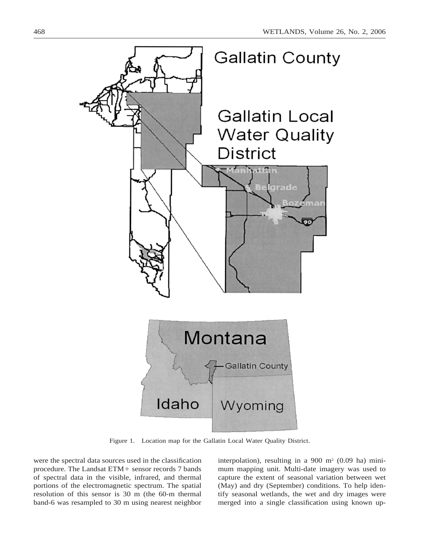

Figure 1. Location map for the Gallatin Local Water Quality District.

were the spectral data sources used in the classification procedure. The Landsat  $ETM+$  sensor records 7 bands of spectral data in the visible, infrared, and thermal portions of the electromagnetic spectrum. The spatial resolution of this sensor is 30 m (the 60-m thermal band-6 was resampled to 30 m using nearest neighbor interpolation), resulting in a 900  $m<sup>2</sup>$  (0.09 ha) minimum mapping unit. Multi-date imagery was used to capture the extent of seasonal variation between wet (May) and dry (September) conditions. To help identify seasonal wetlands, the wet and dry images were merged into a single classification using known up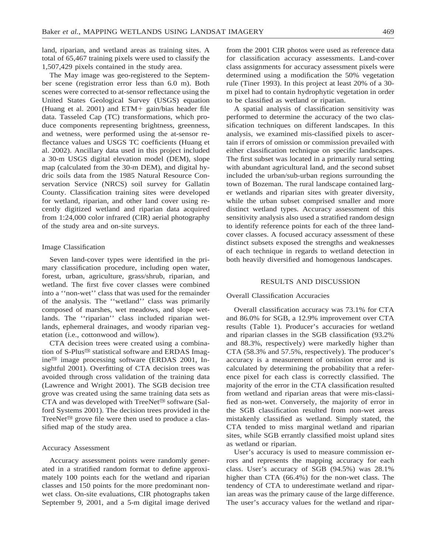land, riparian, and wetland areas as training sites. A total of 65,467 training pixels were used to classify the 1,507,429 pixels contained in the study area.

The May image was geo-registered to the September scene (registration error less than 6.0 m). Both scenes were corrected to at-sensor reflectance using the United States Geological Survey (USGS) equation (Huang et al. 2001) and  $ETM+$  gain/bias header file data. Tasseled Cap (TC) transformations, which produce components representing brightness, greenness, and wetness, were performed using the at-sensor reflectance values and USGS TC coefficients (Huang et al. 2002). Ancillary data used in this project included a 30-m USGS digital elevation model (DEM), slope map (calculated from the 30-m DEM), and digital hydric soils data from the 1985 Natural Resource Conservation Service (NRCS) soil survey for Gallatin County. Classification training sites were developed for wetland, riparian, and other land cover using recently digitized wetland and riparian data acquired from 1:24,000 color infrared (CIR) aerial photography of the study area and on-site surveys.

## Image Classification

Seven land-cover types were identified in the primary classification procedure, including open water, forest, urban, agriculture, grass/shrub, riparian, and wetland. The first five cover classes were combined into a ''non-wet'' class that was used for the remainder of the analysis. The ''wetland'' class was primarily composed of marshes, wet meadows, and slope wetlands. The "riparian" class included riparian wetlands, ephemeral drainages, and woody riparian vegetation (i.e., cottonwood and willow).

CTA decision trees were created using a combination of  $S$ -Plus<sup>®</sup> statistical software and ERDAS Imagine $\mathbb{S}$  image processing software (ERDAS 2001, Insightful 2001). Overfitting of CTA decision trees was avoided through cross validation of the training data (Lawrence and Wright 2001). The SGB decision tree grove was created using the same training data sets as CTA and was developed with TreeNet® software (Salford Systems 2001). The decision trees provided in the TreeNet<sup>®</sup> grove file were then used to produce a classified map of the study area.

# Accuracy Assessment

Accuracy assessment points were randomly generated in a stratified random format to define approximately 100 points each for the wetland and riparian classes and 150 points for the more predominant nonwet class. On-site evaluations, CIR photographs taken September 9, 2001, and a 5-m digital image derived

from the 2001 CIR photos were used as reference data for classification accuracy assessments. Land-cover class assignments for accuracy assessment pixels were determined using a modification the 50% vegetation rule (Tiner 1993). In this project at least 20% of a 30 m pixel had to contain hydrophytic vegetation in order to be classified as wetland or riparian.

A spatial analysis of classification sensitivity was performed to determine the accuracy of the two classification techniques on different landscapes. In this analysis, we examined mis-classified pixels to ascertain if errors of omission or commission prevailed with either classification technique on specific landscapes. The first subset was located in a primarily rural setting with abundant agricultural land, and the second subset included the urban/sub-urban regions surrounding the town of Bozeman. The rural landscape contained larger wetlands and riparian sites with greater diversity, while the urban subset comprised smaller and more distinct wetland types. Accuracy assessment of this sensitivity analysis also used a stratified random design to identify reference points for each of the three landcover classes. A focused accuracy assessment of these distinct subsets exposed the strengths and weaknesses of each technique in regards to wetland detection in both heavily diversified and homogenous landscapes.

## RESULTS AND DISCUSSION

## Overall Classification Accuracies

Overall classification accuracy was 73.1% for CTA and 86.0% for SGB, a 12.9% improvement over CTA results (Table 1). Producer's accuracies for wetland and riparian classes in the SGB classification (93.2% and 88.3%, respectively) were markedly higher than CTA (58.3% and 57.5%, respectively). The producer's accuracy is a measurement of omission error and is calculated by determining the probability that a reference pixel for each class is correctly classified. The majority of the error in the CTA classification resulted from wetland and riparian areas that were mis-classified as non-wet. Conversely, the majority of error in the SGB classification resulted from non-wet areas mistakenly classified as wetland. Simply stated, the CTA tended to miss marginal wetland and riparian sites, while SGB errantly classified moist upland sites as wetland or riparian.

User's accuracy is used to measure commission errors and represents the mapping accuracy for each class. User's accuracy of SGB (94.5%) was 28.1% higher than CTA (66.4%) for the non-wet class. The tendency of CTA to underestimate wetland and riparian areas was the primary cause of the large difference. The user's accuracy values for the wetland and ripar-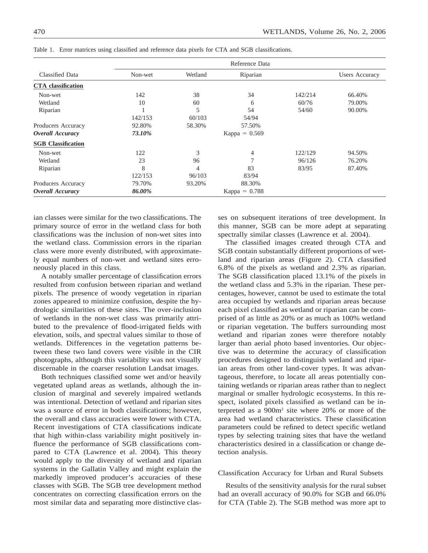|                           | Reference Data |         |                 |         |                       |  |  |  |
|---------------------------|----------------|---------|-----------------|---------|-----------------------|--|--|--|
| Classified Data           | Non-wet        | Wetland | Riparian        |         | <b>Users Accuracy</b> |  |  |  |
| <b>CTA</b> classification |                |         |                 |         |                       |  |  |  |
| Non-wet                   | 142            | 38      | 34              | 142/214 | 66.40%                |  |  |  |
| Wetland                   | 10             | 60      | 6               | 60/76   | 79.00%                |  |  |  |
| Riparian                  |                | 5       | 54              | 54/60   | 90.00%                |  |  |  |
|                           | 142/153        | 60/103  | 54/94           |         |                       |  |  |  |
| Producers Accuracy        | 92.80%         | 58.30%  | 57.50%          |         |                       |  |  |  |
| Overall Accuracy          | 73.10%         |         | Kappa = $0.569$ |         |                       |  |  |  |
| <b>SGB</b> Classification |                |         |                 |         |                       |  |  |  |
| Non-wet                   | 122            | 3       | 4               | 122/129 | 94.50%                |  |  |  |
| Wetland                   | 23             | 96      | 7               | 96/126  | 76.20%                |  |  |  |
| Riparian                  | 8              | 4       | 83              | 83/95   | 87.40%                |  |  |  |
|                           | 122/153        | 96/103  | 83/94           |         |                       |  |  |  |
| Producers Accuracy        | 79.70%         | 93.20%  | 88.30%          |         |                       |  |  |  |
| Overall Accuracy          | 86.00%         |         | Kappa = $0.788$ |         |                       |  |  |  |

Table 1. Error matrices using classified and reference data pixels for CTA and SGB classifications.

ian classes were similar for the two classifications. The primary source of error in the wetland class for both classifications was the inclusion of non-wet sites into the wetland class. Commission errors in the riparian class were more evenly distributed, with approximately equal numbers of non-wet and wetland sites erroneously placed in this class.

A notably smaller percentage of classification errors resulted from confusion between riparian and wetland pixels. The presence of woody vegetation in riparian zones appeared to minimize confusion, despite the hydrologic similarities of these sites. The over-inclusion of wetlands in the non-wet class was primarily attributed to the prevalence of flood-irrigated fields with elevation, soils, and spectral values similar to those of wetlands. Differences in the vegetation patterns between these two land covers were visible in the CIR photographs, although this variability was not visually discernable in the coarser resolution Landsat images.

Both techniques classified some wet and/or heavily vegetated upland areas as wetlands, although the inclusion of marginal and severely impaired wetlands was intentional. Detection of wetland and riparian sites was a source of error in both classifications; however, the overall and class accuracies were lower with CTA. Recent investigations of CTA classifications indicate that high within-class variability might positively influence the performance of SGB classifications compared to CTA (Lawrence et al. 2004). This theory would apply to the diversity of wetland and riparian systems in the Gallatin Valley and might explain the markedly improved producer's accuracies of these classes with SGB. The SGB tree development method concentrates on correcting classification errors on the most similar data and separating more distinctive classes on subsequent iterations of tree development. In this manner, SGB can be more adept at separating spectrally similar classes (Lawrence et al. 2004).

The classified images created through CTA and SGB contain substantially different proportions of wetland and riparian areas (Figure 2). CTA classified 6.8% of the pixels as wetland and 2.3% as riparian. The SGB classification placed 13.1% of the pixels in the wetland class and 5.3% in the riparian. These percentages, however, cannot be used to estimate the total area occupied by wetlands and riparian areas because each pixel classified as wetland or riparian can be comprised of as little as 20% or as much as 100% wetland or riparian vegetation. The buffers surrounding most wetland and riparian zones were therefore notably larger than aerial photo based inventories. Our objective was to determine the accuracy of classification procedures designed to distinguish wetland and riparian areas from other land-cover types. It was advantageous, therefore, to locate all areas potentially containing wetlands or riparian areas rather than to neglect marginal or smaller hydrologic ecosystems. In this respect, isolated pixels classified as wetland can be interpreted as a 900m2 site where 20% or more of the area had wetland characteristics. These classification parameters could be refined to detect specific wetland types by selecting training sites that have the wetland characteristics desired in a classification or change detection analysis.

#### Classification Accuracy for Urban and Rural Subsets

Results of the sensitivity analysis for the rural subset had an overall accuracy of 90.0% for SGB and 66.0% for CTA (Table 2). The SGB method was more apt to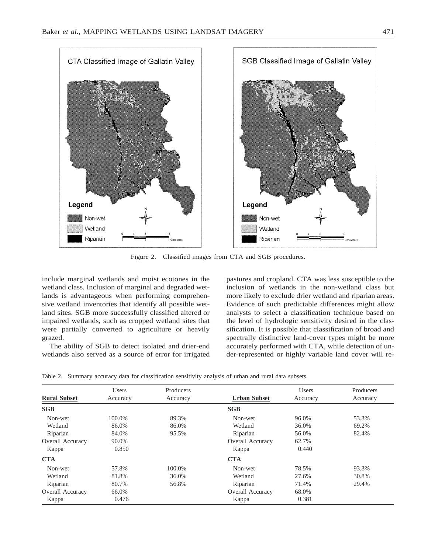

Figure 2. Classified images from CTA and SGB procedures.

include marginal wetlands and moist ecotones in the wetland class. Inclusion of marginal and degraded wetlands is advantageous when performing comprehensive wetland inventories that identify all possible wetland sites. SGB more successfully classified altered or impaired wetlands, such as cropped wetland sites that were partially converted to agriculture or heavily grazed.

The ability of SGB to detect isolated and drier-end wetlands also served as a source of error for irrigated pastures and cropland. CTA was less susceptible to the inclusion of wetlands in the non-wetland class but more likely to exclude drier wetland and riparian areas. Evidence of such predictable differences might allow analysts to select a classification technique based on the level of hydrologic sensitivity desired in the classification. It is possible that classification of broad and spectrally distinctive land-cover types might be more accurately performed with CTA, while detection of under-represented or highly variable land cover will re-

|  |  |  |  |  | Table 2. Summary accuracy data for classification sensitivity analysis of urban and rural data subsets. |  |  |  |  |  |  |  |  |
|--|--|--|--|--|---------------------------------------------------------------------------------------------------------|--|--|--|--|--|--|--|--|
|--|--|--|--|--|---------------------------------------------------------------------------------------------------------|--|--|--|--|--|--|--|--|

|                     | <b>Users</b> | Producers |                         | <b>Users</b> | Producers |
|---------------------|--------------|-----------|-------------------------|--------------|-----------|
| <b>Rural Subset</b> | Accuracy     | Accuracy  | <b>Urban Subset</b>     | Accuracy     | Accuracy  |
| SGB                 |              |           | SGB                     |              |           |
| Non-wet             | 100.0%       | 89.3%     | Non-wet                 | 96.0%        | 53.3%     |
| Wetland             | 86.0%        | 86.0%     | Wetland                 | 36.0%        | 69.2%     |
| Riparian            | 84.0%        | 95.5%     | Riparian                | 56.0%        | 82.4%     |
| Overall Accuracy    | 90.0%        |           | <b>Overall Accuracy</b> | 62.7%        |           |
| Kappa               | 0.850        |           | Kappa                   | 0.440        |           |
| <b>CTA</b>          |              |           | <b>CTA</b>              |              |           |
| Non-wet             | 57.8%        | 100.0%    | Non-wet                 | 78.5%        | 93.3%     |
| Wetland             | 81.8%        | 36.0%     | Wetland                 | 27.6%        | 30.8%     |
| Riparian            | 80.7%        | 56.8%     | Riparian                | 71.4%        | 29.4%     |
| Overall Accuracy    | 66.0%        |           | Overall Accuracy        | 68.0%        |           |
| Kappa               | 0.476        |           | Kappa                   | 0.381        |           |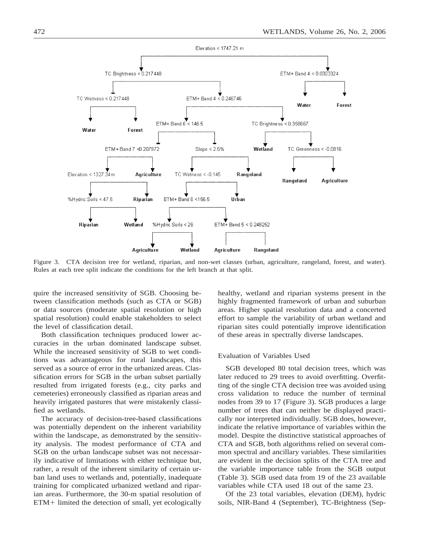

Figure 3. CTA decision tree for wetland, riparian, and non-wet classes (urban, agriculture, rangeland, forest, and water). Rules at each tree split indicate the conditions for the left branch at that split.

quire the increased sensitivity of SGB. Choosing between classification methods (such as CTA or SGB) or data sources (moderate spatial resolution or high spatial resolution) could enable stakeholders to select the level of classification detail.

Both classification techniques produced lower accuracies in the urban dominated landscape subset. While the increased sensitivity of SGB to wet conditions was advantageous for rural landscapes, this served as a source of error in the urbanized areas. Classification errors for SGB in the urban subset partially resulted from irrigated forests (e.g., city parks and cemeteries) erroneously classified as riparian areas and heavily irrigated pastures that were mistakenly classified as wetlands.

The accuracy of decision-tree-based classifications was potentially dependent on the inherent variability within the landscape, as demonstrated by the sensitivity analysis. The modest performance of CTA and SGB on the urban landscape subset was not necessarily indicative of limitations with either technique but, rather, a result of the inherent similarity of certain urban land uses to wetlands and, potentially, inadequate training for complicated urbanized wetland and riparian areas. Furthermore, the 30-m spatial resolution of  $ETM+$  limited the detection of small, yet ecologically

healthy, wetland and riparian systems present in the highly fragmented framework of urban and suburban areas. Higher spatial resolution data and a concerted effort to sample the variability of urban wetland and riparian sites could potentially improve identification of these areas in spectrally diverse landscapes.

## Evaluation of Variables Used

SGB developed 80 total decision trees, which was later reduced to 29 trees to avoid overfitting. Overfitting of the single CTA decision tree was avoided using cross validation to reduce the number of terminal nodes from 39 to 17 (Figure 3). SGB produces a large number of trees that can neither be displayed practically nor interpreted individually. SGB does, however, indicate the relative importance of variables within the model. Despite the distinctive statistical approaches of CTA and SGB, both algorithms relied on several common spectral and ancillary variables. These similarities are evident in the decision splits of the CTA tree and the variable importance table from the SGB output (Table 3). SGB used data from 19 of the 23 available variables while CTA used 18 out of the same 23.

Of the 23 total variables, elevation (DEM), hydric soils, NIR-Band 4 (September), TC-Brightness (Sep-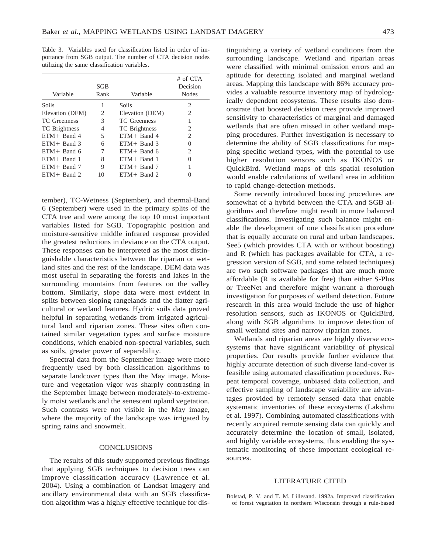Table 3. Variables used for classification listed in order of importance from SGB output. The number of CTA decision nodes utilizing the same classification variables.

| Variable        | SGB<br>Rank | Variable        | $#$ of CTA<br>Decision<br><b>Nodes</b> |
|-----------------|-------------|-----------------|----------------------------------------|
| <b>Soils</b>    | 1           | Soils           | 2                                      |
| Elevation (DEM) | 2           | Elevation (DEM) | 2                                      |
| TC Greenness    | 3           | TC Greenness    | 1                                      |
| TC Brightness   | 4           | TC Brightness   | $\mathfrak{D}_{\cdot}$                 |
| $ETM + Band 4$  | 5           | $ETM + Band 4$  | 2                                      |
| $ETM + Band 3$  | 6           | $ETM + Band 3$  | $\theta$                               |
| $ETM+$ Band 6   | 7           | $ETM + Band 6$  | $\mathfrak{D}_{\cdot}$                 |
| $ETM + Band 1$  | 8           | $ETM + Band 1$  | $\mathcal{L}$                          |
| $ETM + Band 7$  | 9           | $ETM + Band 7$  |                                        |
| $ETM + Band 2$  | 10          | $ETM + Band 2$  |                                        |

tember), TC-Wetness (September), and thermal-Band 6 (September) were used in the primary splits of the CTA tree and were among the top 10 most important variables listed for SGB. Topographic position and moisture-sensitive middle infrared response provided the greatest reductions in deviance on the CTA output. These responses can be interpreted as the most distinguishable characteristics between the riparian or wetland sites and the rest of the landscape. DEM data was most useful in separating the forests and lakes in the surrounding mountains from features on the valley bottom. Similarly, slope data were most evident in splits between sloping rangelands and the flatter agricultural or wetland features. Hydric soils data proved helpful in separating wetlands from irrigated agricultural land and riparian zones. These sites often contained similar vegetation types and surface moisture conditions, which enabled non-spectral variables, such as soils, greater power of separability.

Spectral data from the September image were more frequently used by both classification algorithms to separate landcover types than the May image. Moisture and vegetation vigor was sharply contrasting in the September image between moderately-to-extremely moist wetlands and the senescent upland vegetation. Such contrasts were not visible in the May image, where the majority of the landscape was irrigated by spring rains and snowmelt.

#### CONCLUSIONS

The results of this study supported previous findings that applying SGB techniques to decision trees can improve classification accuracy (Lawrence et al. 2004). Using a combination of Landsat imagery and ancillary environmental data with an SGB classification algorithm was a highly effective technique for distinguishing a variety of wetland conditions from the surrounding landscape. Wetland and riparian areas were classified with minimal omission errors and an aptitude for detecting isolated and marginal wetland areas. Mapping this landscape with 86% accuracy provides a valuable resource inventory map of hydrologically dependent ecosystems. These results also demonstrate that boosted decision trees provide improved sensitivity to characteristics of marginal and damaged wetlands that are often missed in other wetland mapping procedures. Further investigation is necessary to determine the ability of SGB classifications for mapping specific wetland types, with the potential to use higher resolution sensors such as IKONOS or QuickBird. Wetland maps of this spatial resolution would enable calculations of wetland area in addition to rapid change-detection methods.

Some recently introduced boosting procedures are somewhat of a hybrid between the CTA and SGB algorithms and therefore might result in more balanced classifications. Investigating such balance might enable the development of one classification procedure that is equally accurate on rural and urban landscapes. See5 (which provides CTA with or without boosting) and R (which has packages available for CTA, a regression version of SGB, and some related techniques) are two such software packages that are much more affordable (R is available for free) than either S-Plus or TreeNet and therefore might warrant a thorough investigation for purposes of wetland detection. Future research in this area would include the use of higher resolution sensors, such as IKONOS or QuickBird, along with SGB algorithms to improve detection of small wetland sites and narrow riparian zones.

Wetlands and riparian areas are highly diverse ecosystems that have significant variability of physical properties. Our results provide further evidence that highly accurate detection of such diverse land-cover is feasible using automated classification procedures. Repeat temporal coverage, unbiased data collection, and effective sampling of landscape variability are advantages provided by remotely sensed data that enable systematic inventories of these ecosystems (Lakshmi et al. 1997). Combining automated classifications with recently acquired remote sensing data can quickly and accurately determine the location of small, isolated, and highly variable ecosystems, thus enabling the systematic monitoring of these important ecological resources.

## LITERATURE CITED

Bolstad, P. V. and T. M. Lillesand. 1992a. Improved classification of forest vegetation in northern Wisconsin through a rule-based